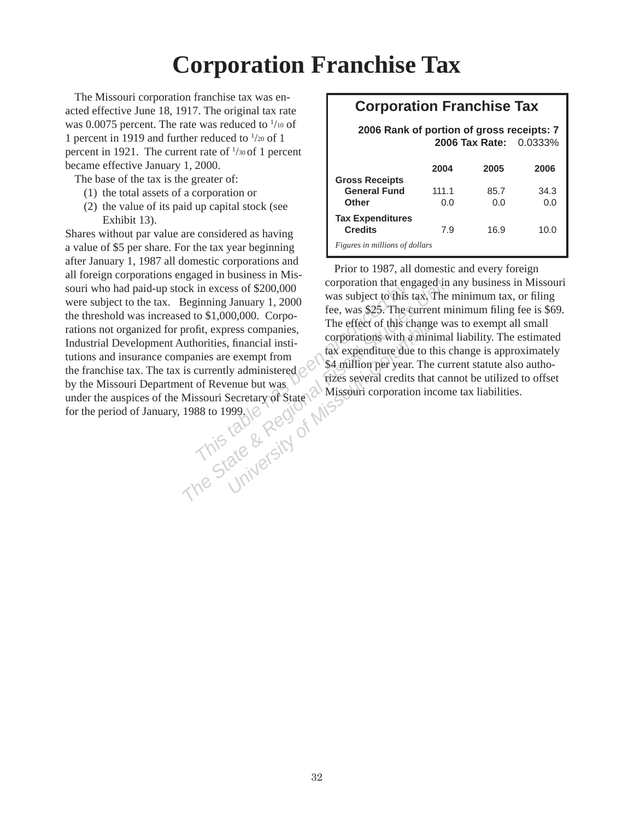## **Corporation Franchise Tax**

The Missouri corporation franchise tax was enacted effective June 18, 1917. The original tax rate was 0.0075 percent. The rate was reduced to  $\frac{1}{10}$  of 1 percent in 1919 and further reduced to  $\frac{1}{20}$  of 1 percent in 1921. The current rate of  $\frac{1}{30}$  of 1 percent became effective January 1, 2000.

The base of the tax is the greater of:

- (1) the total assets of a corporation or
- (2) the value of its paid up capital stock (see Exhibit 13).

*This This This The Columbia*<br>
The State of \$200,000<br> *The State State By State Area State Area state are sempt from*<br> *The effect of this change was state was State are sempt from*<br> *The effect of this change was corpora* Shares without par value are considered as having a value of \$5 per share. For the tax year beginning after January 1, 1987 all domestic corporations and all foreign corporations engaged in business in Missouri who had paid-up stock in excess of \$200,000 were subject to the tax. Beginning January 1, 2000 the threshold was increased to  $$1,000,000$ . Corporations not organized for profit, express companies, Industrial Development Authorities, financial institutions and insurance companies are exempt from the franchise tax. The tax is currently administered  $\varnothing$ by the Missouri Department of Revenue but was. by the Missouri Department of Revenue out was.<br>under the auspices of the Missouri Secretary of State Missouri corporation income tax liabilities. for the period of January, 1988 to 1999.

## **Corporation Franchise Tax**

## **2006 Rank of portion of gross receipts: 7 2006 Tax Rate:** 0.0333%  **2004 2005 2006 Gross Receipts General Fund** 111.1 85.7 34.3 **Other** 0.0 0.0 0.0 **Tax Expenditures Credits** 7.9 16.9 10.0

*Figures in millions of dollars*

Prior to 1987, all domestic and every foreign corporation that engaged in any business in Missouri was subject to this tax. The minimum tax, or filing fee, was \$25. The current minimum filing fee is \$69. The effect of this change was to exempt all small corporations with a minimal liability. The estimated tax expenditure due to this change is approximately \$4 million per year. The current statute also authorizes several credits that cannot be utilized to offset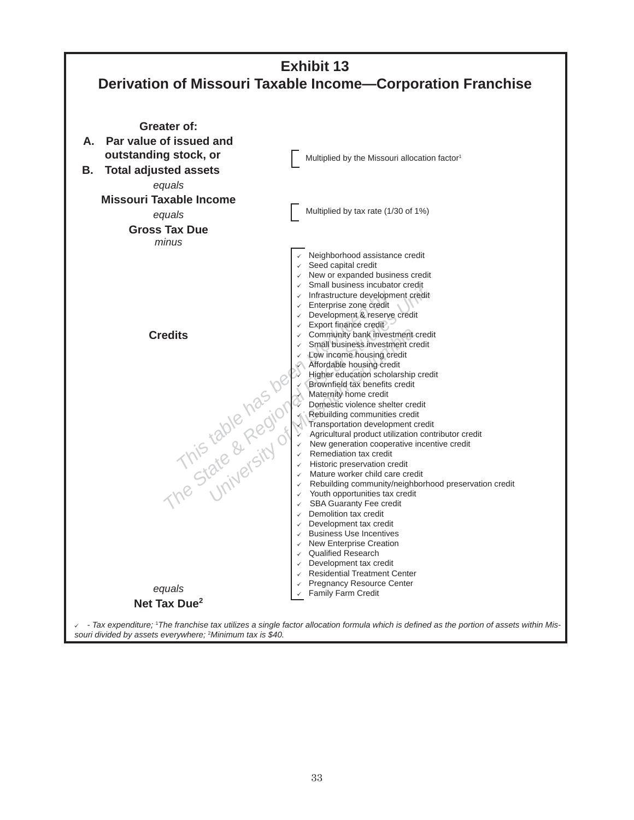